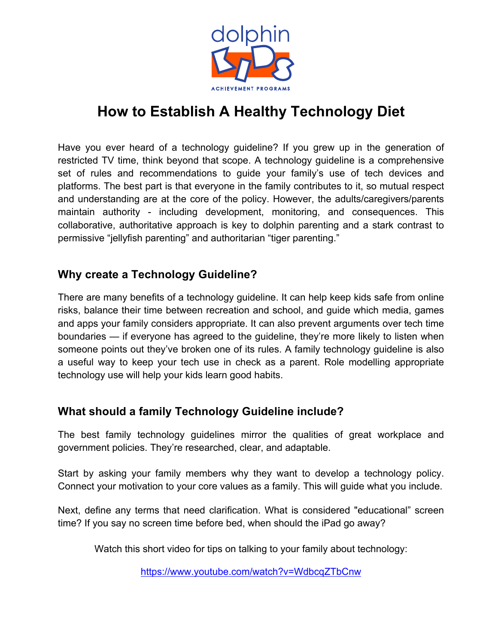

## **How to Establish A Healthy Technology Diet**

Have you ever heard of a technology guideline? If you grew up in the generation of restricted TV time, think beyond that scope. A technology guideline is a comprehensive set of rules and recommendations to guide your family's use of tech devices and platforms. The best part is that everyone in the family contributes to it, so mutual respect and understanding are at the core of the policy. However, the adults/caregivers/parents maintain authority - including development, monitoring, and consequences. This collaborative, authoritative approach is key to dolphin parenting and a stark contrast to permissive "jellyfish parenting" and authoritarian "tiger parenting."

## **Why create a Technology Guideline?**

There are many benefits of a technology guideline. It can help keep kids safe from online risks, balance their time between recreation and school, and guide which media, games and apps your family considers appropriate. It can also prevent arguments over tech time boundaries — if everyone has agreed to the guideline, they're more likely to listen when someone points out they've broken one of its rules. A family technology guideline is also a useful way to keep your tech use in check as a parent. Role modelling appropriate technology use will help your kids learn good habits.

## **What should a family Technology Guideline include?**

The best family technology guidelines mirror the qualities of great workplace and government policies. They're researched, clear, and adaptable.

Start by asking your family members why they want to develop a technology policy. Connect your motivation to your core values as a family. This will guide what you include.

Next, define any terms that need clarification. What is considered "educational" screen time? If you say no screen time before bed, when should the iPad go away?

Watch this short video for tips on talking to your family about technology:

https://www.youtube.com/watch?v=WdbcqZTbCnw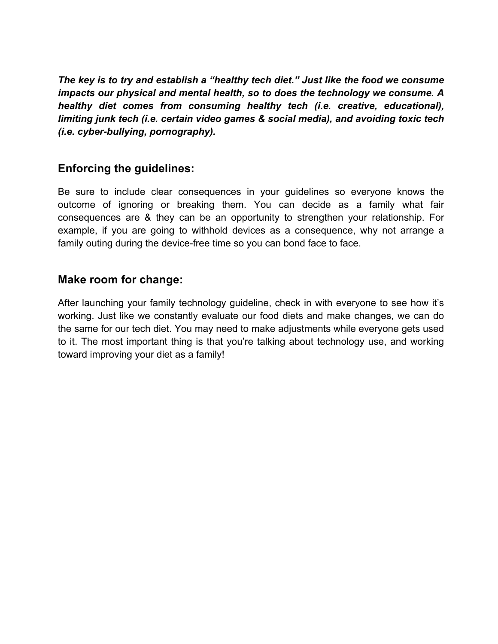*The key is to try and establish a "healthy tech diet." Just like the food we consume impacts our physical and mental health, so to does the technology we consume. A healthy diet comes from consuming healthy tech (i.e. creative, educational), limiting junk tech (i.e. certain video games & social media), and avoiding toxic tech (i.e. cyber-bullying, pornography).* 

### **Enforcing the guidelines:**

Be sure to include clear consequences in your guidelines so everyone knows the outcome of ignoring or breaking them. You can decide as a family what fair consequences are & they can be an opportunity to strengthen your relationship. For example, if you are going to withhold devices as a consequence, why not arrange a family outing during the device-free time so you can bond face to face.

#### **Make room for change:**

After launching your family technology guideline, check in with everyone to see how it's working. Just like we constantly evaluate our food diets and make changes, we can do the same for our tech diet. You may need to make adjustments while everyone gets used to it. The most important thing is that you're talking about technology use, and working toward improving your diet as a family!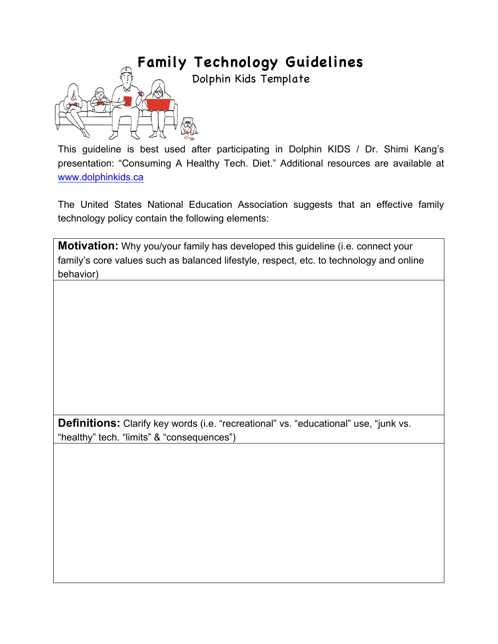# **Family Technology Guidelines**

Dolphin Kids Template



This guideline is best used after participating in Dolphin KIDS / Dr. Shimi Kang's presentation: "Consuming A Healthy Tech. Diet." Additional resources are available at www.dolphinkids.ca

The United States National Education Association suggests that an effective family technology policy contain the following elements:

**Motivation:** Why you/your family has developed this guideline (i.e. connect your family's core values such as balanced lifestyle, respect, etc. to technology and online behavior)

**Definitions:** Clarify key words (i.e. "recreational" vs. "educational" use, "junk vs. "healthy" tech. "limits" & "consequences")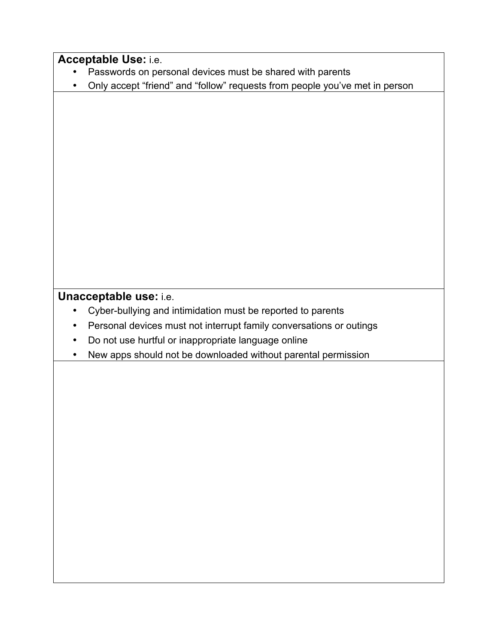| Acceptable Use: i.e.                                                             |
|----------------------------------------------------------------------------------|
| Passwords on personal devices must be shared with parents                        |
| Only accept "friend" and "follow" requests from people you've met in person<br>٠ |
|                                                                                  |
|                                                                                  |
|                                                                                  |
|                                                                                  |
|                                                                                  |
|                                                                                  |
|                                                                                  |
|                                                                                  |
|                                                                                  |
|                                                                                  |
|                                                                                  |
|                                                                                  |
|                                                                                  |
|                                                                                  |
| Unacceptable use: i.e.                                                           |
| Cyber-bullying and intimidation must be reported to parents<br>$\bullet$         |
| Personal devices must not interrupt family conversations or outings<br>$\bullet$ |
| Do not use hurtful or inappropriate language online<br>$\bullet$                 |
| New apps should not be downloaded without parental permission<br>$\bullet$       |
|                                                                                  |
|                                                                                  |
|                                                                                  |
|                                                                                  |
|                                                                                  |
|                                                                                  |
|                                                                                  |
|                                                                                  |
|                                                                                  |
|                                                                                  |
|                                                                                  |
|                                                                                  |
|                                                                                  |
|                                                                                  |
|                                                                                  |
|                                                                                  |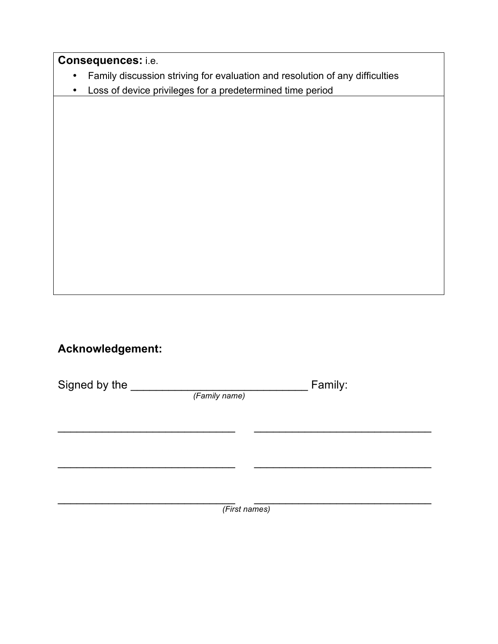**Consequences:** i.e.

- Family discussion striving for evaluation and resolution of any difficulties
- Loss of device privileges for a predetermined time period

## **Acknowledgement:**

Signed by the \_\_\_\_\_\_\_\_\_\_\_\_\_\_\_\_\_\_\_\_\_\_\_\_\_\_\_\_ Family:

 *(Family name)*

 $\mathcal{L}_\text{max}$  , and the contribution of the contribution of the contribution of the contribution of the contribution of the contribution of the contribution of the contribution of the contribution of the contribution of t  *(First names)*

\_\_\_\_\_\_\_\_\_\_\_\_\_\_\_\_\_\_\_\_\_\_\_\_\_\_\_\_ \_\_\_\_\_\_\_\_\_\_\_\_\_\_\_\_\_\_\_\_\_\_\_\_\_\_\_\_

 $\mathcal{L}_\text{max}$  , and the contribution of the contribution of the contribution of the contribution of the contribution of the contribution of the contribution of the contribution of the contribution of the contribution of t